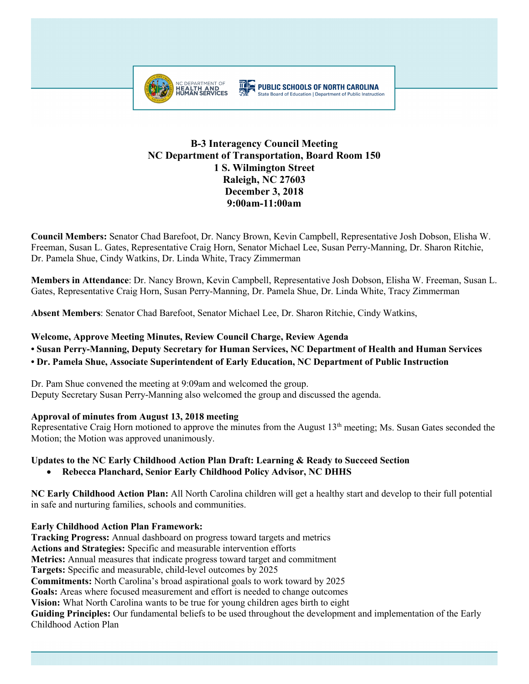

# **B-3 Interagency Council Meeting NC Department of Transportation, Board Room 150 1 S. Wilmington Street Raleigh, NC 27603 December 3, 2018 9:00am-11:00am**

**Council Members:** Senator Chad Barefoot, Dr. Nancy Brown, Kevin Campbell, Representative Josh Dobson, Elisha W. Freeman, Susan L. Gates, Representative Craig Horn, Senator Michael Lee, Susan Perry-Manning, Dr. Sharon Ritchie, Dr. Pamela Shue, Cindy Watkins, Dr. Linda White, Tracy Zimmerman

**Members in Attendance**: Dr. Nancy Brown, Kevin Campbell, Representative Josh Dobson, Elisha W. Freeman, Susan L. Gates, Representative Craig Horn, Susan Perry-Manning, Dr. Pamela Shue, Dr. Linda White, Tracy Zimmerman

**Absent Members**: Senator Chad Barefoot, Senator Michael Lee, Dr. Sharon Ritchie, Cindy Watkins,

## **Welcome, Approve Meeting Minutes, Review Council Charge, Review Agenda**

**• Susan Perry-Manning, Deputy Secretary for Human Services, NC Department of Health and Human Services** 

## **• Dr. Pamela Shue, Associate Superintendent of Early Education, NC Department of Public Instruction**

Dr. Pam Shue convened the meeting at 9:09am and welcomed the group. Deputy Secretary Susan Perry-Manning also welcomed the group and discussed the agenda.

## **Approval of minutes from August 13, 2018 meeting**

Representative Craig Horn motioned to approve the minutes from the August 13<sup>th</sup> meeting; Ms. Susan Gates seconded the Motion; the Motion was approved unanimously.

## **Updates to the NC Early Childhood Action Plan Draft: Learning & Ready to Succeed Section**

• **Rebecca Planchard, Senior Early Childhood Policy Advisor, NC DHHS**

**NC Early Childhood Action Plan:** All North Carolina children will get a healthy start and develop to their full potential in safe and nurturing families, schools and communities.

## **Early Childhood Action Plan Framework:**

**Tracking Progress:** Annual dashboard on progress toward targets and metrics **Actions and Strategies:** Specific and measurable intervention efforts **Metrics:** Annual measures that indicate progress toward target and commitment **Targets:** Specific and measurable, child-level outcomes by 2025 **Commitments:** North Carolina's broad aspirational goals to work toward by 2025 **Goals:** Areas where focused measurement and effort is needed to change outcomes **Vision:** What North Carolina wants to be true for young children ages birth to eight **Guiding Principles:** Our fundamental beliefs to be used throughout the development and implementation of the Early Childhood Action Plan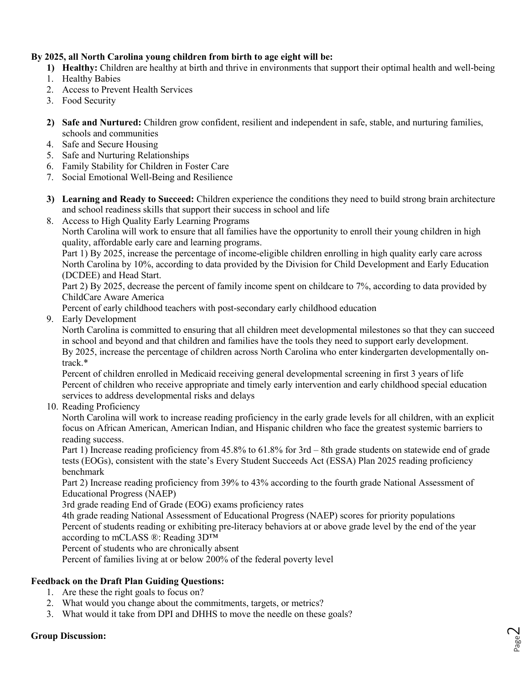# **By 2025, all North Carolina young children from birth to age eight will be:**

- **1) Healthy:** Children are healthy at birth and thrive in environments that support their optimal health and well-being
- 1. Healthy Babies
- 2. Access to Prevent Health Services
- 3. Food Security
- **2) Safe and Nurtured:** Children grow confident, resilient and independent in safe, stable, and nurturing families, schools and communities
- 4. Safe and Secure Housing
- 5. Safe and Nurturing Relationships
- 6. Family Stability for Children in Foster Care
- 7. Social Emotional Well-Being and Resilience
- **3) Learning and Ready to Succeed:** Children experience the conditions they need to build strong brain architecture and school readiness skills that support their success in school and life
- 8. Access to High Quality Early Learning Programs

North Carolina will work to ensure that all families have the opportunity to enroll their young children in high quality, affordable early care and learning programs.

Part 1) By 2025, increase the percentage of income-eligible children enrolling in high quality early care across North Carolina by 10%, according to data provided by the Division for Child Development and Early Education (DCDEE) and Head Start.

Part 2) By 2025, decrease the percent of family income spent on childcare to 7%, according to data provided by ChildCare Aware America

Percent of early childhood teachers with post-secondary early childhood education

9. Early Development

North Carolina is committed to ensuring that all children meet developmental milestones so that they can succeed in school and beyond and that children and families have the tools they need to support early development. By 2025, increase the percentage of children across North Carolina who enter kindergarten developmentally ontrack.\*

Percent of children enrolled in Medicaid receiving general developmental screening in first 3 years of life Percent of children who receive appropriate and timely early intervention and early childhood special education services to address developmental risks and delays

10. Reading Proficiency

North Carolina will work to increase reading proficiency in the early grade levels for all children, with an explicit focus on African American, American Indian, and Hispanic children who face the greatest systemic barriers to reading success.

Part 1) Increase reading proficiency from 45.8% to 61.8% for 3rd – 8th grade students on statewide end of grade tests (EOGs), consistent with the state's Every Student Succeeds Act (ESSA) Plan 2025 reading proficiency benchmark

Part 2) Increase reading proficiency from 39% to 43% according to the fourth grade National Assessment of Educational Progress (NAEP)

3rd grade reading End of Grade (EOG) exams proficiency rates

4th grade reading National Assessment of Educational Progress (NAEP) scores for priority populations Percent of students reading or exhibiting pre-literacy behaviors at or above grade level by the end of the year according to mCLASS ®: Reading 3D™

Percent of students who are chronically absent

Percent of families living at or below 200% of the federal poverty level

## **Feedback on the Draft Plan Guiding Questions:**

- 1. Are these the right goals to focus on?
- 2. What would you change about the commitments, targets, or metrics?
- 3. What would it take from DPI and DHHS to move the needle on these goals?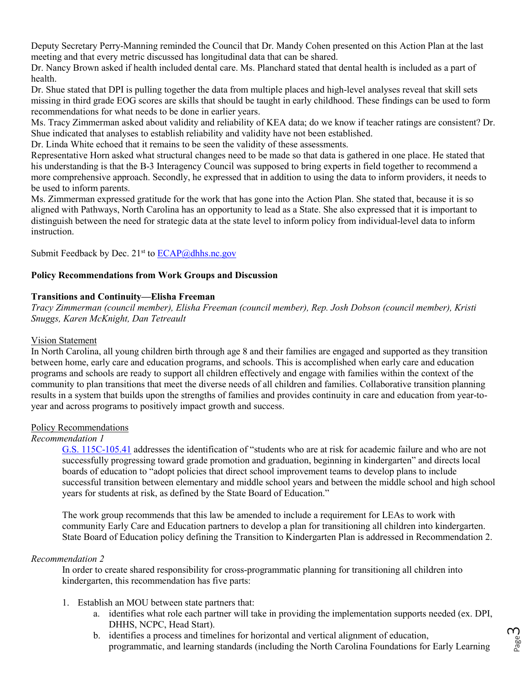Deputy Secretary Perry-Manning reminded the Council that Dr. Mandy Cohen presented on this Action Plan at the last meeting and that every metric discussed has longitudinal data that can be shared.

Dr. Nancy Brown asked if health included dental care. Ms. Planchard stated that dental health is included as a part of health.

Dr. Shue stated that DPI is pulling together the data from multiple places and high-level analyses reveal that skill sets missing in third grade EOG scores are skills that should be taught in early childhood. These findings can be used to form recommendations for what needs to be done in earlier years.

Ms. Tracy Zimmerman asked about validity and reliability of KEA data; do we know if teacher ratings are consistent? Dr. Shue indicated that analyses to establish reliability and validity have not been established.

Dr. Linda White echoed that it remains to be seen the validity of these assessments.

Representative Horn asked what structural changes need to be made so that data is gathered in one place. He stated that his understanding is that the B-3 Interagency Council was supposed to bring experts in field together to recommend a more comprehensive approach. Secondly, he expressed that in addition to using the data to inform providers, it needs to be used to inform parents.

Ms. Zimmerman expressed gratitude for the work that has gone into the Action Plan. She stated that, because it is so aligned with Pathways, North Carolina has an opportunity to lead as a State. She also expressed that it is important to distinguish between the need for strategic data at the state level to inform policy from individual-level data to inform instruction.

Submit Feedback by Dec.  $21^{st}$  to  $\underline{ECAP}$  @dhhs.nc.gov

# **Policy Recommendations from Work Groups and Discussion**

## **Transitions and Continuity—Elisha Freeman**

*Tracy Zimmerman (council member), Elisha Freeman (council member), Rep. Josh Dobson (council member), Kristi Snuggs, Karen McKnight, Dan Tetreault*

## Vision Statement

In North Carolina, all young children birth through age 8 and their families are engaged and supported as they transition between home, early care and education programs, and schools. This is accomplished when early care and education programs and schools are ready to support all children effectively and engage with families within the context of the community to plan transitions that meet the diverse needs of all children and families. Collaborative transition planning results in a system that builds upon the strengths of families and provides continuity in care and education from year-toyear and across programs to positively impact growth and success.

#### Policy Recommendations

## *Recommendation 1*

[G.S. 115C-105.41](https://www.ncleg.net/enactedlegislation/statutes/html/bysection/chapter_115c/gs_115c-105.41.html) addresses the identification of "students who are at risk for academic failure and who are not successfully progressing toward grade promotion and graduation, beginning in kindergarten" and directs local boards of education to "adopt policies that direct school improvement teams to develop plans to include successful transition between elementary and middle school years and between the middle school and high school years for students at risk, as defined by the State Board of Education."

The work group recommends that this law be amended to include a requirement for LEAs to work with community Early Care and Education partners to develop a plan for transitioning all children into kindergarten. State Board of Education policy defining the Transition to Kindergarten Plan is addressed in Recommendation 2.

#### *Recommendation 2*

In order to create shared responsibility for cross-programmatic planning for transitioning all children into kindergarten, this recommendation has five parts:

- 1. Establish an MOU between state partners that:
	- a. identifies what role each partner will take in providing the implementation supports needed (ex. DPI, DHHS, NCPC, Head Start).
	- b. identifies a process and timelines for horizontal and vertical alignment of education, programmatic, and learning standards (including the North Carolina Foundations for Early Learning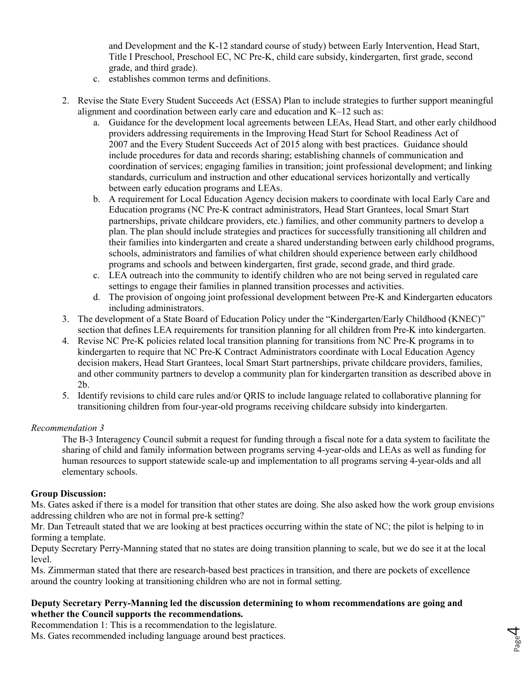and Development and the K-12 standard course of study) between Early Intervention, Head Start, Title I Preschool, Preschool EC, NC Pre-K, child care subsidy, kindergarten, first grade, second grade, and third grade).

- c. establishes common terms and definitions.
- 2. Revise the State Every Student Succeeds Act (ESSA) Plan to include strategies to further support meaningful alignment and coordination between early care and education and K–12 such as:
	- a. Guidance for the development local agreements between LEAs, Head Start, and other early childhood providers addressing requirements in the Improving Head Start for School Readiness Act of 2007 and the Every Student Succeeds Act of 2015 along with best practices. Guidance should include procedures for data and records sharing; establishing channels of communication and coordination of services; engaging families in transition; joint professional development; and linking standards, curriculum and instruction and other educational services horizontally and vertically between early education programs and LEAs.
	- b. A requirement for Local Education Agency decision makers to coordinate with local Early Care and Education programs (NC Pre-K contract administrators, Head Start Grantees, local Smart Start partnerships, private childcare providers, etc.) families, and other community partners to develop a plan. The plan should include strategies and practices for successfully transitioning all children and their families into kindergarten and create a shared understanding between early childhood programs, schools, administrators and families of what children should experience between early childhood programs and schools and between kindergarten, first grade, second grade, and third grade.
	- c. LEA outreach into the community to identify children who are not being served in regulated care settings to engage their families in planned transition processes and activities.
	- d. The provision of ongoing joint professional development between Pre-K and Kindergarten educators including administrators.
- 3. The development of a State Board of Education Policy under the "Kindergarten/Early Childhood (KNEC)" section that defines LEA requirements for transition planning for all children from Pre-K into kindergarten.
- 4. Revise NC Pre-K policies related local transition planning for transitions from NC Pre-K programs in to kindergarten to require that NC Pre-K Contract Administrators coordinate with Local Education Agency decision makers, Head Start Grantees, local Smart Start partnerships, private childcare providers, families, and other community partners to develop a community plan for kindergarten transition as described above in 2b.
- 5. Identify revisions to child care rules and/or QRIS to include language related to collaborative planning for transitioning children from four-year-old programs receiving childcare subsidy into kindergarten.

## *Recommendation 3*

The B-3 Interagency Council submit a request for funding through a fiscal note for a data system to facilitate the sharing of child and family information between programs serving 4-year-olds and LEAs as well as funding for human resources to support statewide scale-up and implementation to all programs serving 4-year-olds and all elementary schools.

#### **Group Discussion:**

Ms. Gates asked if there is a model for transition that other states are doing. She also asked how the work group envisions addressing children who are not in formal pre-k setting?

Mr. Dan Tetreault stated that we are looking at best practices occurring within the state of NC; the pilot is helping to in forming a template.

Deputy Secretary Perry-Manning stated that no states are doing transition planning to scale, but we do see it at the local level.

> Page  $\overline{\mathcal{A}}$

Ms. Zimmerman stated that there are research-based best practices in transition, and there are pockets of excellence around the country looking at transitioning children who are not in formal setting.

## **Deputy Secretary Perry-Manning led the discussion determining to whom recommendations are going and whether the Council supports the recommendations.**

Recommendation 1: This is a recommendation to the legislature. Ms. Gates recommended including language around best practices.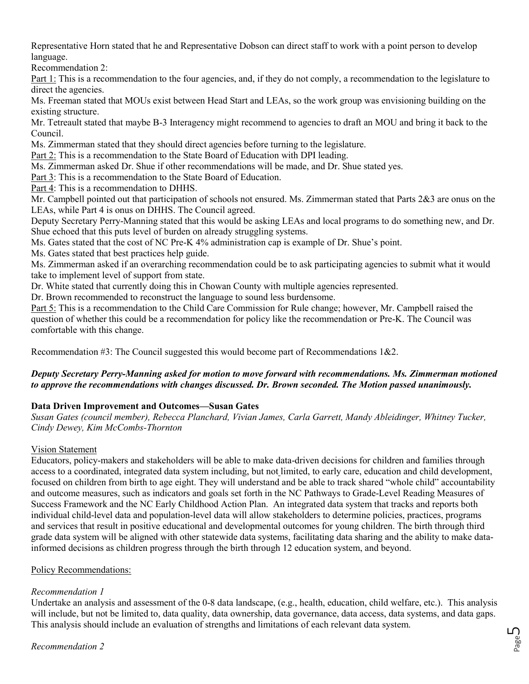Representative Horn stated that he and Representative Dobson can direct staff to work with a point person to develop language.

Recommendation 2:

Part 1: This is a recommendation to the four agencies, and, if they do not comply, a recommendation to the legislature to direct the agencies.

Ms. Freeman stated that MOUs exist between Head Start and LEAs, so the work group was envisioning building on the existing structure.

Mr. Tetreault stated that maybe B-3 Interagency might recommend to agencies to draft an MOU and bring it back to the Council.

Ms. Zimmerman stated that they should direct agencies before turning to the legislature.

Part 2: This is a recommendation to the State Board of Education with DPI leading.

Ms. Zimmerman asked Dr. Shue if other recommendations will be made, and Dr. Shue stated yes.

Part 3: This is a recommendation to the State Board of Education.

Part 4: This is a recommendation to DHHS.

Mr. Campbell pointed out that participation of schools not ensured. Ms. Zimmerman stated that Parts 2&3 are onus on the LEAs, while Part 4 is onus on DHHS. The Council agreed.

Deputy Secretary Perry-Manning stated that this would be asking LEAs and local programs to do something new, and Dr. Shue echoed that this puts level of burden on already struggling systems.

Ms. Gates stated that the cost of NC Pre-K 4% administration cap is example of Dr. Shue's point.

Ms. Gates stated that best practices help guide.

Ms. Zimmerman asked if an overarching recommendation could be to ask participating agencies to submit what it would take to implement level of support from state.

Dr. White stated that currently doing this in Chowan County with multiple agencies represented.

Dr. Brown recommended to reconstruct the language to sound less burdensome.

Part 5: This is a recommendation to the Child Care Commission for Rule change; however, Mr. Campbell raised the question of whether this could be a recommendation for policy like the recommendation or Pre-K. The Council was comfortable with this change.

Recommendation #3: The Council suggested this would become part of Recommendations 1&2.

## *Deputy Secretary Perry-Manning asked for motion to move forward with recommendations. Ms. Zimmerman motioned to approve the recommendations with changes discussed. Dr. Brown seconded. The Motion passed unanimously.*

## **Data Driven Improvement and Outcomes—Susan Gates**

*Susan Gates (council member), Rebecca Planchard, Vivian James, Carla Garrett, Mandy Ableidinger, Whitney Tucker, Cindy Dewey, Kim McCombs-Thornton*

## Vision Statement

Educators, policy-makers and stakeholders will be able to make data-driven decisions for children and families through access to a coordinated, integrated data system including, but not limited, to early care, education and child development, focused on children from birth to age eight. They will understand and be able to track shared "whole child" accountability and outcome measures, such as indicators and goals set forth in the NC Pathways to Grade-Level Reading Measures of Success Framework and the NC Early Childhood Action Plan. An integrated data system that tracks and reports both individual child-level data and population-level data will allow stakeholders to determine policies, practices, programs and services that result in positive educational and developmental outcomes for young children. The birth through third grade data system will be aligned with other statewide data systems, facilitating data sharing and the ability to make datainformed decisions as children progress through the birth through 12 education system, and beyond.

## Policy Recommendations:

## *Recommendation 1*

Undertake an analysis and assessment of the 0-8 data landscape, (e.g., health, education, child welfare, etc.). This analysis will include, but not be limited to, data quality, data ownership, data governance, data access, data systems, and data gaps. This analysis should include an evaluation of strengths and limitations of each relevant data system.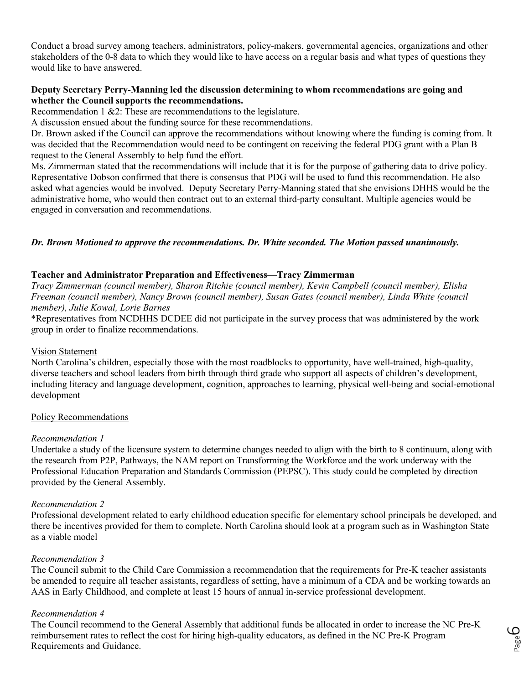Conduct a broad survey among teachers, administrators, policy-makers, governmental agencies, organizations and other stakeholders of the 0-8 data to which they would like to have access on a regular basis and what types of questions they would like to have answered.

## **Deputy Secretary Perry-Manning led the discussion determining to whom recommendations are going and whether the Council supports the recommendations.**

Recommendation 1 &2: These are recommendations to the legislature.

A discussion ensued about the funding source for these recommendations.

Dr. Brown asked if the Council can approve the recommendations without knowing where the funding is coming from. It was decided that the Recommendation would need to be contingent on receiving the federal PDG grant with a Plan B request to the General Assembly to help fund the effort.

Ms. Zimmerman stated that the recommendations will include that it is for the purpose of gathering data to drive policy. Representative Dobson confirmed that there is consensus that PDG will be used to fund this recommendation. He also asked what agencies would be involved. Deputy Secretary Perry-Manning stated that she envisions DHHS would be the administrative home, who would then contract out to an external third-party consultant. Multiple agencies would be engaged in conversation and recommendations.

## *Dr. Brown Motioned to approve the recommendations. Dr. White seconded. The Motion passed unanimously.*

#### **Teacher and Administrator Preparation and Effectiveness—Tracy Zimmerman**

*Tracy Zimmerman (council member), Sharon Ritchie (council member), Kevin Campbell (council member), Elisha Freeman (council member), Nancy Brown (council member), Susan Gates (council member), Linda White (council member), Julie Kowal, Lorie Barnes* 

\*Representatives from NCDHHS DCDEE did not participate in the survey process that was administered by the work group in order to finalize recommendations.

#### Vision Statement

North Carolina's children, especially those with the most roadblocks to opportunity, have well-trained, high-quality, diverse teachers and school leaders from birth through third grade who support all aspects of children's development, including literacy and language development, cognition, approaches to learning, physical well-being and social-emotional development

#### Policy Recommendations

#### *Recommendation 1*

Undertake a study of the licensure system to determine changes needed to align with the birth to 8 continuum, along with the research from P2P, Pathways, the NAM report on Transforming the Workforce and the work underway with the Professional Education Preparation and Standards Commission (PEPSC). This study could be completed by direction provided by the General Assembly.

#### *Recommendation 2*

Professional development related to early childhood education specific for elementary school principals be developed, and there be incentives provided for them to complete. North Carolina should look at a program such as in Washington State as a viable model

#### *Recommendation 3*

The Council submit to the Child Care Commission a recommendation that the requirements for Pre-K teacher assistants be amended to require all teacher assistants, regardless of setting, have a minimum of a CDA and be working towards an AAS in Early Childhood, and complete at least 15 hours of annual in-service professional development.

#### *Recommendation 4*

The Council recommend to the General Assembly that additional funds be allocated in order to increase the NC Pre-K reimbursement rates to reflect the cost for hiring high-quality educators, as defined in the NC Pre-K Program Requirements and Guidance.